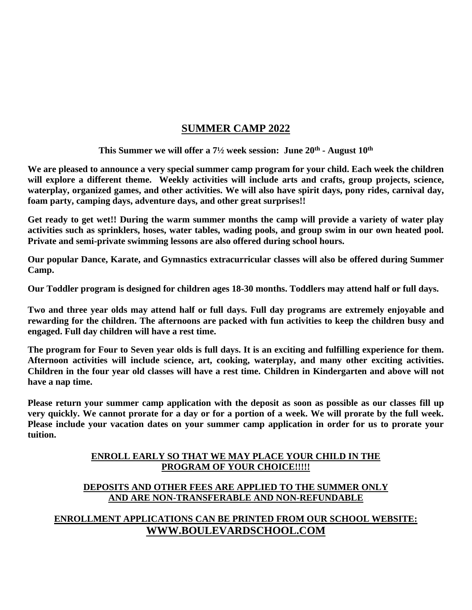### **SUMMER CAMP 2022**

**This Summer we will offer a 7½ week session: June 20 th - August 10 th**

**We are pleased to announce a very special summer camp program for your child. Each week the children will explore a different theme. Weekly activities will include arts and crafts, group projects, science, waterplay, organized games, and other activities. We will also have spirit days, pony rides, carnival day, foam party, camping days, adventure days, and other great surprises!!**

**Get ready to get wet!! During the warm summer months the camp will provide a variety of water play activities such as sprinklers, hoses, water tables, wading pools, and group swim in our own heated pool. Private and semi-private swimming lessons are also offered during school hours.**

**Our popular Dance, Karate, and Gymnastics extracurricular classes will also be offered during Summer Camp.**

**Our Toddler program is designed for children ages 18-30 months. Toddlers may attend half or full days.**

**Two and three year olds may attend half or full days. Full day programs are extremely enjoyable and rewarding for the children. The afternoons are packed with fun activities to keep the children busy and engaged. Full day children will have a rest time.**

**The program for Four to Seven year olds is full days. It is an exciting and fulfilling experience for them. Afternoon activities will include science, art, cooking, waterplay, and many other exciting activities. Children in the four year old classes will have a rest time. Children in Kindergarten and above will not have a nap time.**

**Please return your summer camp application with the deposit as soon as possible as our classes fill up very quickly. We cannot prorate for a day or for a portion of a week. We will prorate by the full week. Please include your vacation dates on your summer camp application in order for us to prorate your tuition.**

#### **ENROLL EARLY SO THAT WE MAY PLACE YOUR CHILD IN THE PROGRAM OF YOUR CHOICE!!!!!**

#### **DEPOSITS AND OTHER FEES ARE APPLIED TO THE SUMMER ONLY AND ARE NON-TRANSFERABLE AND NON-REFUNDABLE**

#### **ENROLLMENT APPLICATIONS CAN BE PRINTED FROM OUR SCHOOL WEBSITE: WWW.BOULEVARDSCHOOL.COM**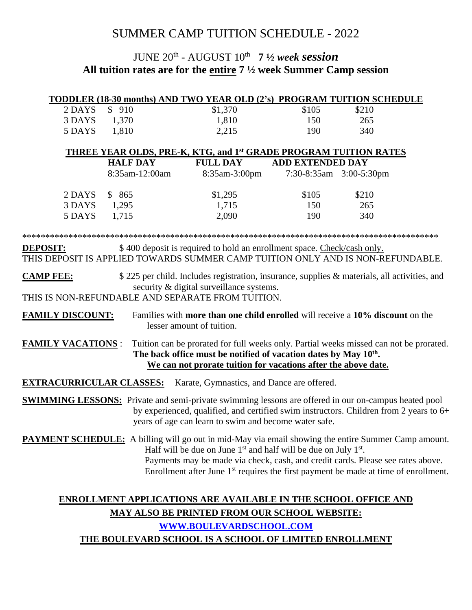## SUMMER CAMP TUITION SCHEDULE - 2022

## JUNE 20 th - AUGUST 10 th **7 ½** *week session* **All tuition rates are for the entire 7 ½ week Summer Camp session**

|                                                                                                                                                                                                       |                 | TODDLER (18-30 months) AND TWO YEAR OLD (2's) PROGRAM TUITION SCHEDULE               |                         |       |  |  |  |  |  |
|-------------------------------------------------------------------------------------------------------------------------------------------------------------------------------------------------------|-----------------|--------------------------------------------------------------------------------------|-------------------------|-------|--|--|--|--|--|
| 2 DAYS                                                                                                                                                                                                | \$910           | \$1,370                                                                              | \$105                   | \$210 |  |  |  |  |  |
| 3 DAYS                                                                                                                                                                                                | 1,370           | 1,810                                                                                | 150                     | 265   |  |  |  |  |  |
| 5 DAYS                                                                                                                                                                                                | 1,810           | 2,215                                                                                | 190                     | 340   |  |  |  |  |  |
|                                                                                                                                                                                                       |                 |                                                                                      |                         |       |  |  |  |  |  |
| <b>THREE YEAR OLDS, PRE-K, KTG, and 1st GRADE PROGRAM TUITION RATES</b>                                                                                                                               |                 |                                                                                      |                         |       |  |  |  |  |  |
|                                                                                                                                                                                                       | <b>HALF DAY</b> | <b>FULL DAY</b>                                                                      | <b>ADD EXTENDED DAY</b> |       |  |  |  |  |  |
|                                                                                                                                                                                                       | 8:35am-12:00am  | 8:35am-3:00pm                                                                        | 7:30-8:35am 3:00-5:30pm |       |  |  |  |  |  |
| 2 DAYS                                                                                                                                                                                                | \$865           | \$1,295                                                                              | \$105                   | \$210 |  |  |  |  |  |
| 3 DAYS                                                                                                                                                                                                | 1,295           | 1,715                                                                                | 150                     | 265   |  |  |  |  |  |
| 5 DAYS                                                                                                                                                                                                | 1,715           | 2,090                                                                                | 190                     | 340   |  |  |  |  |  |
|                                                                                                                                                                                                       |                 |                                                                                      |                         |       |  |  |  |  |  |
|                                                                                                                                                                                                       |                 |                                                                                      |                         |       |  |  |  |  |  |
| <b>DEPOSIT:</b>                                                                                                                                                                                       |                 | \$400 deposit is required to hold an enrollment space. Check/cash only.              |                         |       |  |  |  |  |  |
|                                                                                                                                                                                                       |                 | THIS DEPOSIT IS APPLIED TOWARDS SUMMER CAMP TUITION ONLY AND IS NON-REFUNDABLE.      |                         |       |  |  |  |  |  |
|                                                                                                                                                                                                       |                 |                                                                                      |                         |       |  |  |  |  |  |
| <b>CAMP FEE:</b><br>\$225 per child. Includes registration, insurance, supplies & materials, all activities, and<br>security & digital surveillance systems.                                          |                 |                                                                                      |                         |       |  |  |  |  |  |
| THIS IS NON-REFUNDABLE AND SEPARATE FROM TUITION.                                                                                                                                                     |                 |                                                                                      |                         |       |  |  |  |  |  |
|                                                                                                                                                                                                       |                 |                                                                                      |                         |       |  |  |  |  |  |
| <u>FAMILY DISCOUNT:</u>                                                                                                                                                                               |                 | Families with <b>more than one child enrolled</b> will receive a 10% discount on the |                         |       |  |  |  |  |  |
|                                                                                                                                                                                                       |                 | lesser amount of tuition.                                                            |                         |       |  |  |  |  |  |
| <b>FAMILY VACATIONS:</b>                                                                                                                                                                              |                 |                                                                                      |                         |       |  |  |  |  |  |
| Tuition can be prorated for full weeks only. Partial weeks missed can not be prorated.<br>The back office must be notified of vacation dates by May 10 <sup>th</sup> .                                |                 |                                                                                      |                         |       |  |  |  |  |  |
| We can not prorate tuition for vacations after the above date.                                                                                                                                        |                 |                                                                                      |                         |       |  |  |  |  |  |
|                                                                                                                                                                                                       |                 |                                                                                      |                         |       |  |  |  |  |  |
| <u>EXTRACURRICULAR CLASSES:</u>                                                                                                                                                                       |                 | Karate, Gymnastics, and Dance are offered.                                           |                         |       |  |  |  |  |  |
|                                                                                                                                                                                                       |                 |                                                                                      |                         |       |  |  |  |  |  |
| <b>SWIMMING LESSONS:</b> Private and semi-private swimming lessons are offered in our on-campus heated pool<br>by experienced, qualified, and certified swim instructors. Children from 2 years to 6+ |                 |                                                                                      |                         |       |  |  |  |  |  |
| years of age can learn to swim and become water safe.                                                                                                                                                 |                 |                                                                                      |                         |       |  |  |  |  |  |
|                                                                                                                                                                                                       |                 |                                                                                      |                         |       |  |  |  |  |  |
| PAYMENT SCHEDULE: A billing will go out in mid-May via email showing the entire Summer Camp amount.                                                                                                   |                 |                                                                                      |                         |       |  |  |  |  |  |
| Half will be due on June $1st$ and half will be due on July $1st$ .                                                                                                                                   |                 |                                                                                      |                         |       |  |  |  |  |  |
| Payments may be made via check, cash, and credit cards. Please see rates above.<br>Enrollment after June 1 <sup>st</sup> requires the first payment be made at time of enrollment.                    |                 |                                                                                      |                         |       |  |  |  |  |  |
|                                                                                                                                                                                                       |                 |                                                                                      |                         |       |  |  |  |  |  |
|                                                                                                                                                                                                       |                 |                                                                                      |                         |       |  |  |  |  |  |
| <b>ENROLLMENT APPLICATIONS ARE AVAILABLE IN THE SCHOOL OFFICE AND</b>                                                                                                                                 |                 |                                                                                      |                         |       |  |  |  |  |  |
| <b>MAY ALSO BE PRINTED FROM OUR SCHOOL WEBSITE:</b>                                                                                                                                                   |                 |                                                                                      |                         |       |  |  |  |  |  |
| WWW.BOULEVARDSCHOOL.COM                                                                                                                                                                               |                 |                                                                                      |                         |       |  |  |  |  |  |
| THE BOULEVARD SCHOOL IS A SCHOOL OF LIMITED ENROLLMENT                                                                                                                                                |                 |                                                                                      |                         |       |  |  |  |  |  |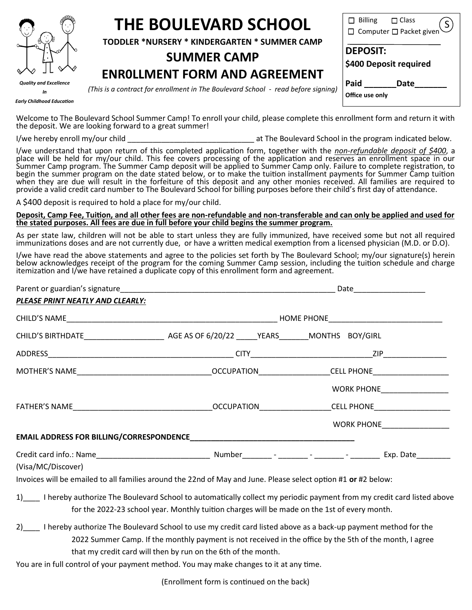

# **THE BOULEVARD SCHOOL**

**TODDLER \*NURSERY \* KINDERGARTEN \* SUMMER CAMP**

## **SUMMER CAMP**

## **ENR0LLMENT FORM AND AGREEMENT**

S  $\Box$  Billing  $\Box$  Class Computer  $\square$  Packet given<sup>'</sup> **DEPOSIT: \$400 Deposit required** Paid Date **Office use only**

*Early Childhood Education*

*(This is a contract for enrollment in The Boulevard School - read before signing)*

Welcome to The Boulevard School Summer Camp! To enroll your child, please complete this enrollment form and return it with the deposit. We are looking forward to a great summer!

I/we hereby enroll my/our child  $\blacksquare$  at The Boulevard School in the program indicated below.

I/we understand that upon return of this completed application form, together with the *non-refundable deposit of \$400*, a place will be held for my/our child. This fee covers processing of the application and reserves an enrollment space in our Summer Camp program. The Summer Camp deposit will be applied to Summer Camp only. Failure to complete registration, to begin the summer program on the date stated below, or to make the tuition installment payments for Summer Camp tuition when they are due will result in the forfeiture of this deposit and any other monies received. All families are required to provide a valid credit card number to The Boulevard School for billing purposes before their child's first day of attendance.

A \$400 deposit is required to hold a place for my/our child.

**Deposit, Camp Fee, Tuition, and all other fees are non-refundable and non-transferable and can only be applied and used for the stated purposes. All fees are due in full before your child begins the summer program.**

As per state law, children will not be able to start unless they are fully immunized, have received some but not all required immunizations doses and are not currently due, or have a written medical exemption from a licensed physician (M.D. or D.O).

I/we have read the above statements and agree to the policies set forth by The Boulevard School; my/our signature(s) herein below acknowledges receipt of the program for the coming Summer Camp session, including the tuition schedule and charge itemization and I/we have retained a duplicate copy of this enrollment form and agreement.

|                                                                                                                          |  |  | Date____________________     |
|--------------------------------------------------------------------------------------------------------------------------|--|--|------------------------------|
| PLEASE PRINT NEATLY AND CLEARLY:                                                                                         |  |  |                              |
|                                                                                                                          |  |  |                              |
|                                                                                                                          |  |  |                              |
|                                                                                                                          |  |  |                              |
|                                                                                                                          |  |  |                              |
|                                                                                                                          |  |  | WORK PHONE__________________ |
|                                                                                                                          |  |  |                              |
|                                                                                                                          |  |  | WORK PHONE_________________  |
|                                                                                                                          |  |  |                              |
|                                                                                                                          |  |  |                              |
| (Visa/MC/Discover)                                                                                                       |  |  |                              |
| Invoices will be emailed to all families around the 22nd of May and June. Please select option #1 or #2 below:           |  |  |                              |
| 1) I hereby authorize The Boulevard School to automatically collect my periodic payment from my credit card listed above |  |  |                              |

- for the 2022-23 school year. Monthly tuition charges will be made on the 1st of every month.
- 2) I hereby authorize The Boulevard School to use my credit card listed above as a back-up payment method for the 2022 Summer Camp. If the monthly payment is not received in the office by the 5th of the month, I agree that my credit card will then by run on the 6th of the month.

You are in full control of your payment method. You may make changes to it at any time.

(Enrollment form is continued on the back)